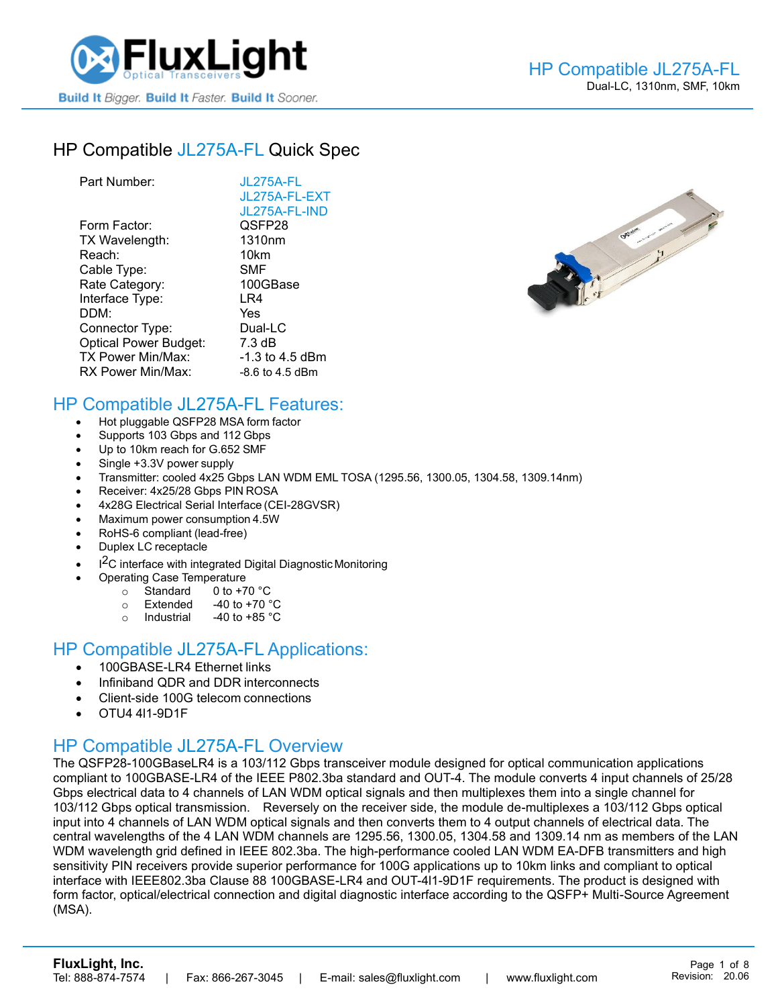

# HP [Compatible JL275A-FL](https://www.fluxlight.com/JL275A-FL/) Quick Spec

| Part Number:                 | JL275A-FL          |
|------------------------------|--------------------|
|                              | JL275A-FL-EXT      |
|                              | JL275A-FL-IND      |
| Form Factor:                 | QSFP28             |
| TX Wavelength:               | 1310 <sub>nm</sub> |
| Reach:                       | 10km               |
| Cable Type:                  | <b>SMF</b>         |
| Rate Category:               | 100GBase           |
| Interface Type:              | LR4                |
| DDM:                         | Yes                |
| Connector Type:              | Dual-LC            |
| <b>Optical Power Budget:</b> | $7.3 \text{ dB}$   |
| TX Power Min/Max:            | $-1.3$ to 4.5 dBm  |
| RX Power Min/Max:            | $-8.6$ to 4.5 dBm  |



### HP Compatible [JL275A-FL](https://www.fluxlight.com/JL275A-FL/) Features:

- Hot pluggable QSFP28 MSA form factor
- Supports 103 Gbps and 112 Gbps
- Up to 10km reach for G.652 SMF
- Single +3.3V power supply
- Transmitter: cooled 4x25 Gbps LAN WDM EML TOSA (1295.56, 1300.05, 1304.58, 1309.14nm)
- Receiver: 4x25/28 Gbps PIN ROSA
- 4x28G Electrical Serial Interface (CEI-28GVSR)
- Maximum power consumption 4.5W
- RoHS-6 compliant (lead-free)
- Duplex LC receptacle
- I<sup>2</sup>C interface with integrated Digital Diagnostic Monitoring
	- Operating Case Temperature
		- o Standard 0 to +70 °C
		- $\circ$  Extended -40 to +70  $\degree$ C
		- o Industrial  $-40$  to  $+85$  °C

#### HP Compatible [JL275A-FL](https://www.fluxlight.com/JL275A-FL/) Applications:

- 100GBASE-LR4 Ethernet links
- Infiniband QDR and DDR interconnects
- Client-side 100G telecom connections
- OTU4 4l1-9D1F

### HP Compatible [JL275A-FL](https://www.fluxlight.com/JL275A-FL/) Overview

The QSFP28-100GBaseLR4 is a 103/112 Gbps transceiver module designed for optical communication applications compliant to 100GBASE-LR4 of the IEEE P802.3ba standard and OUT-4. The module converts 4 input channels of 25/28 Gbps electrical data to 4 channels of LAN WDM optical signals and then multiplexes them into a single channel for 103/112 Gbps optical transmission. Reversely on the receiver side, the module de-multiplexes a 103/112 Gbps optical input into 4 channels of LAN WDM optical signals and then converts them to 4 output channels of electrical data. The central wavelengths of the 4 LAN WDM channels are 1295.56, 1300.05, 1304.58 and 1309.14 nm as members of the LAN WDM wavelength grid defined in IEEE 802.3ba. The high-performance cooled LAN WDM EA-DFB transmitters and high sensitivity PIN receivers provide superior performance for 100G applications up to 10km links and compliant to optical interface with IEEE802.3ba Clause 88 100GBASE-LR4 and OUT-4l1-9D1F requirements. The product is designed with form factor, optical/electrical connection and digital diagnostic interface according to the QSFP+ Multi-Source Agreement (MSA).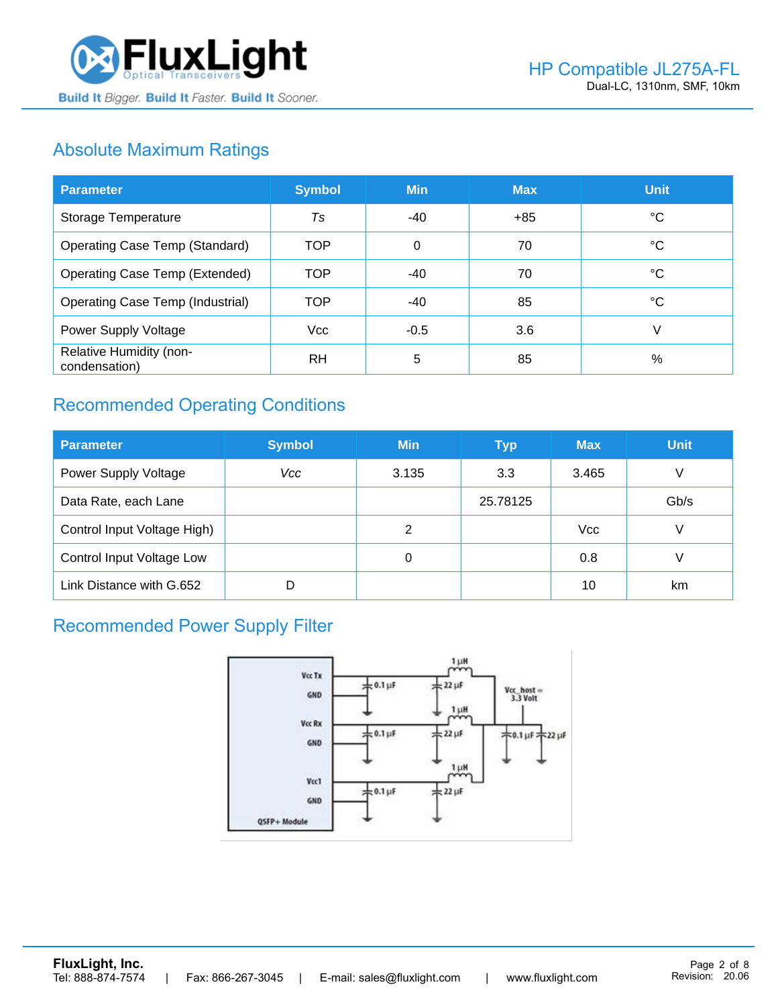

# Absolute Maximum Ratings

| <b>Parameter</b>                         | <b>Symbol</b> | <b>Min</b> | <b>Max</b> | <b>Unit</b> |
|------------------------------------------|---------------|------------|------------|-------------|
| Storage Temperature                      | Ts            | -40        | $+85$      | ℃           |
| <b>Operating Case Temp (Standard)</b>    | <b>TOP</b>    | $\Omega$   | 70         | °C          |
| <b>Operating Case Temp (Extended)</b>    | <b>TOP</b>    | $-40$      | 70         | °C          |
| <b>Operating Case Temp (Industrial)</b>  | <b>TOP</b>    | -40        | 85         | °C          |
| Power Supply Voltage                     | <b>Vcc</b>    | $-0.5$     | 3.6        | V           |
| Relative Humidity (non-<br>condensation) | <b>RH</b>     | 5          | 85         | %           |

# Recommended Operating Conditions

| <b>Parameter</b>            | <b>Symbol</b> | <b>Min</b> | <b>Typ</b> | <b>Max</b> | Unit, |
|-----------------------------|---------------|------------|------------|------------|-------|
| <b>Power Supply Voltage</b> | Vcc           | 3.135      | 3.3        | 3.465      | V     |
| Data Rate, each Lane        |               |            | 25.78125   |            | Gb/s  |
| Control Input Voltage High) |               | 2          |            | <b>Vcc</b> | V     |
| Control Input Voltage Low   |               | 0          |            | 0.8        | V     |
| Link Distance with G.652    |               |            |            | 10         | km    |

# Recommended Power Supply Filter

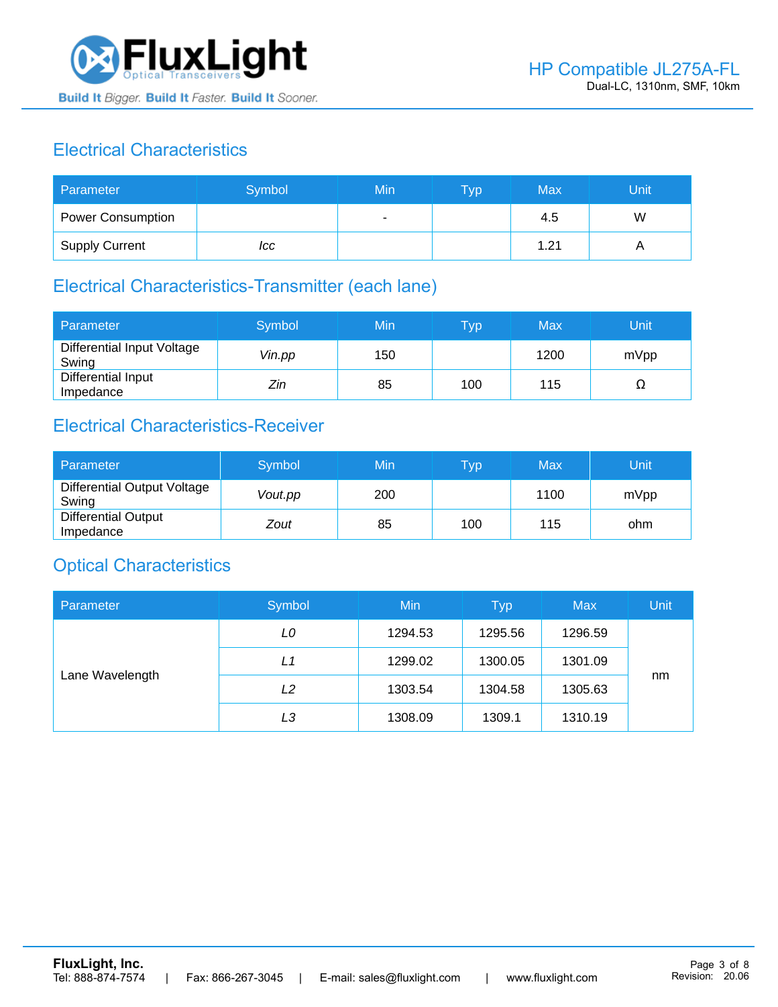

# Electrical Characteristics

| Parameter                | Symbol | Min | <b>Typ</b> | Max  | Unit |
|--------------------------|--------|-----|------------|------|------|
| <b>Power Consumption</b> |        | ۰   |            | 4.5  | W    |
| <b>Supply Current</b>    | ICC    |     |            | 1.21 |      |

# Electrical Characteristics-Transmitter (each lane)

| Parameter                           | Symbol | Min | $\mathsf{Typ}$ | Max  | Unit |
|-------------------------------------|--------|-----|----------------|------|------|
| Differential Input Voltage<br>Swing | Vin.pp | 150 |                | 1200 | mVpp |
| Differential Input<br>Impedance     | Zin    | 85  | 100            | 115  | Ω    |

## Electrical Characteristics-Receiver

| Parameter                               | Symbol  | Min | <b>Vp</b> | Max  | Unit |
|-----------------------------------------|---------|-----|-----------|------|------|
| Differential Output Voltage<br>Swing    | Vout.pp | 200 |           | 1100 | mVpp |
| <b>Differential Output</b><br>Impedance | Zout    | 85  | 100       | 115  | ohm  |

### Optical Characteristics

| Parameter       | Symbol         | Min     | <b>Typ</b> | <b>Max</b> | Unit |
|-----------------|----------------|---------|------------|------------|------|
| Lane Wavelength | LO             | 1294.53 | 1295.56    | 1296.59    |      |
|                 | L1             | 1299.02 | 1300.05    | 1301.09    |      |
|                 | L2             | 1303.54 | 1304.58    | 1305.63    | nm   |
|                 | L <sub>3</sub> | 1308.09 | 1309.1     | 1310.19    |      |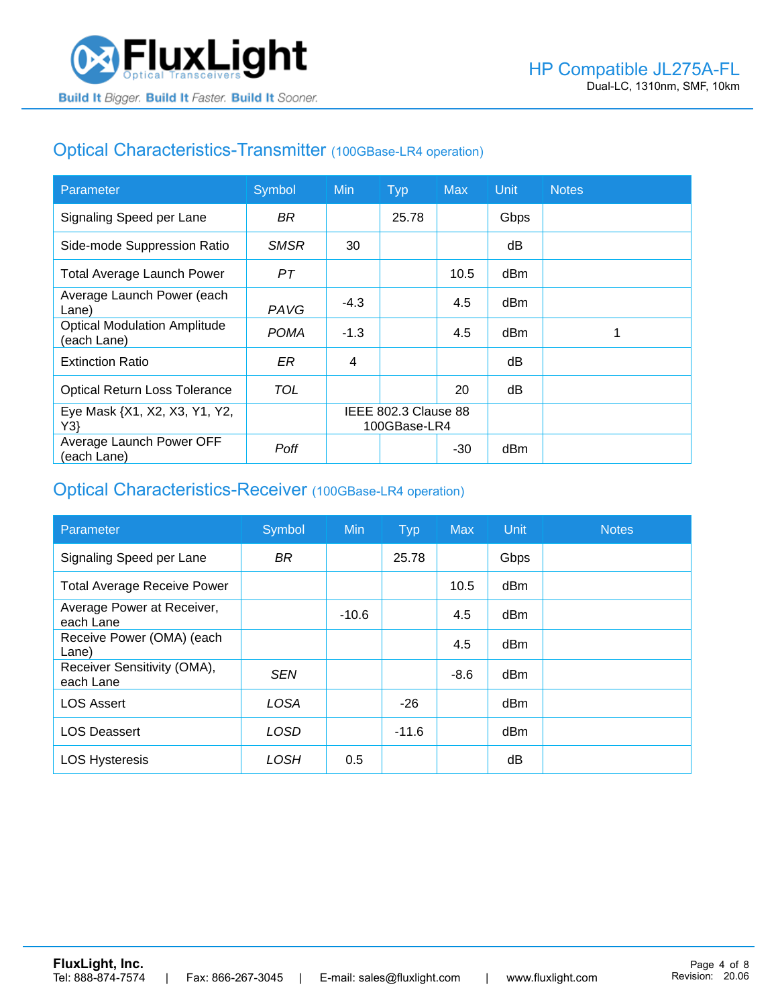### Optical Characteristics-Transmitter (100GBase-LR4 operation)

| Parameter                                          | Symbol      | <b>Min</b>                           | <b>Typ</b> | <b>Max</b> | <b>Unit</b> | <b>Notes</b> |
|----------------------------------------------------|-------------|--------------------------------------|------------|------------|-------------|--------------|
| Signaling Speed per Lane                           | BR.         |                                      | 25.78      |            | Gbps        |              |
| Side-mode Suppression Ratio                        | <b>SMSR</b> | 30                                   |            |            | dB          |              |
| <b>Total Average Launch Power</b>                  | PT          |                                      |            | 10.5       | dBm         |              |
| Average Launch Power (each<br>Lane)                | PAVG        | $-4.3$                               |            | 4.5        | dBm         |              |
| <b>Optical Modulation Amplitude</b><br>(each Lane) | <b>POMA</b> | $-1.3$                               |            | 4.5        | dBm         |              |
| <b>Extinction Ratio</b>                            | ER          | 4                                    |            |            | dВ          |              |
| <b>Optical Return Loss Tolerance</b>               | TOL         |                                      |            | 20         | dB          |              |
| Eye Mask {X1, X2, X3, Y1, Y2,<br>Y3                |             | IEEE 802.3 Clause 88<br>100GBase-LR4 |            |            |             |              |
| Average Launch Power OFF<br>(each Lane)            | Poff        |                                      |            | $-30$      | dBm         |              |

#### Optical Characteristics-Receiver (100GBase-LR4 operation)

| Parameter                                | Symbol      | <b>Min</b> | <b>Typ</b> | <b>Max</b> | Unit | <b>Notes</b> |
|------------------------------------------|-------------|------------|------------|------------|------|--------------|
| Signaling Speed per Lane                 | <b>BR</b>   |            | 25.78      |            | Gbps |              |
| <b>Total Average Receive Power</b>       |             |            |            | 10.5       | dBm  |              |
| Average Power at Receiver,<br>each Lane  |             | $-10.6$    |            | 4.5        | dBm  |              |
| Receive Power (OMA) (each<br>Lane)       |             |            |            | 4.5        | dBm  |              |
| Receiver Sensitivity (OMA),<br>each Lane | <b>SEN</b>  |            |            | $-8.6$     | dBm  |              |
| <b>LOS Assert</b>                        | <b>LOSA</b> |            | $-26$      |            | dBm  |              |
| <b>LOS Deassert</b>                      | LOSD        |            | $-11.6$    |            | dBm  |              |
| <b>LOS Hysteresis</b>                    | LOSH        | 0.5        |            |            | dΒ   |              |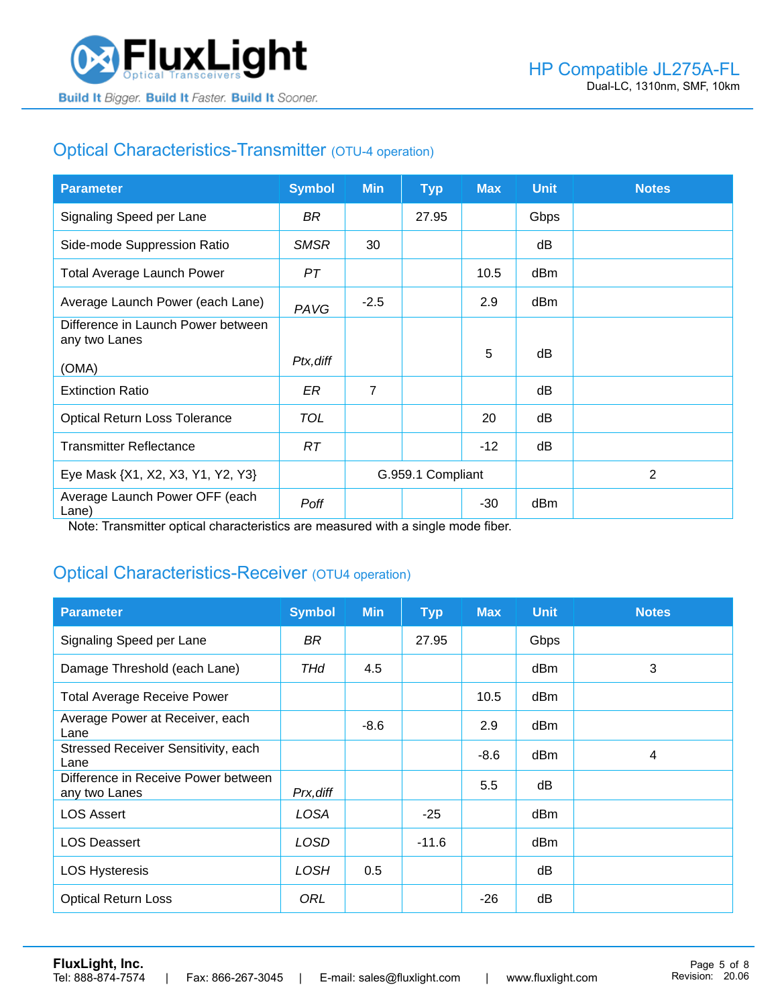

# Optical Characteristics-Transmitter (OTU-4 operation)

| <b>Parameter</b>                                    | <b>Symbol</b> | <b>Min</b>        | TyP   | <b>Max</b> | <b>Unit</b> | <b>Notes</b> |
|-----------------------------------------------------|---------------|-------------------|-------|------------|-------------|--------------|
| Signaling Speed per Lane                            | BR            |                   | 27.95 |            | Gbps        |              |
| Side-mode Suppression Ratio                         | <b>SMSR</b>   | 30                |       |            | dB          |              |
| <b>Total Average Launch Power</b>                   | PТ            |                   |       | 10.5       | dBm         |              |
| Average Launch Power (each Lane)                    | PAVG          | $-2.5$            |       | 2.9        | dBm         |              |
| Difference in Launch Power between<br>any two Lanes |               |                   |       |            |             |              |
| (OMA)                                               | Ptx, diff     |                   |       | 5          | dB          |              |
| <b>Extinction Ratio</b>                             | ER            | $\overline{7}$    |       |            | dB          |              |
| <b>Optical Return Loss Tolerance</b>                | <b>TOL</b>    |                   |       | 20         | dB          |              |
| <b>Transmitter Reflectance</b>                      | RT.           |                   |       | $-12$      | dB          |              |
| Eye Mask {X1, X2, X3, Y1, Y2, Y3}                   |               | G.959.1 Compliant |       |            |             | 2            |
| Average Launch Power OFF (each<br>Lane)             | Poff          |                   |       | $-30$      | dBm         |              |

Note: Transmitter optical characteristics are measured with a single mode fiber.

### Optical Characteristics-Receiver (OTU4 operation)

| <b>Parameter</b>                                     | <b>Symbol</b> | <b>Min</b> | <b>Typ</b> | <b>Max</b> | <b>Unit</b> | <b>Notes</b> |
|------------------------------------------------------|---------------|------------|------------|------------|-------------|--------------|
| Signaling Speed per Lane                             | BR            |            | 27.95      |            | Gbps        |              |
| Damage Threshold (each Lane)                         | THd           | 4.5        |            |            | dBm         | 3            |
| <b>Total Average Receive Power</b>                   |               |            |            | 10.5       | dBm         |              |
| Average Power at Receiver, each<br>Lane              |               | $-8.6$     |            | 2.9        | dBm         |              |
| Stressed Receiver Sensitivity, each<br>Lane          |               |            |            | $-8.6$     | dBm         | 4            |
| Difference in Receive Power between<br>any two Lanes | Prx, diff     |            |            | 5.5        | dB          |              |
| <b>LOS Assert</b>                                    | LOSA          |            | $-25$      |            | dBm         |              |
| <b>LOS Deassert</b>                                  | LOSD          |            | $-11.6$    |            | dBm         |              |
| <b>LOS Hysteresis</b>                                | <b>LOSH</b>   | 0.5        |            |            | dB          |              |
| <b>Optical Return Loss</b>                           | ORL           |            |            | $-26$      | dB          |              |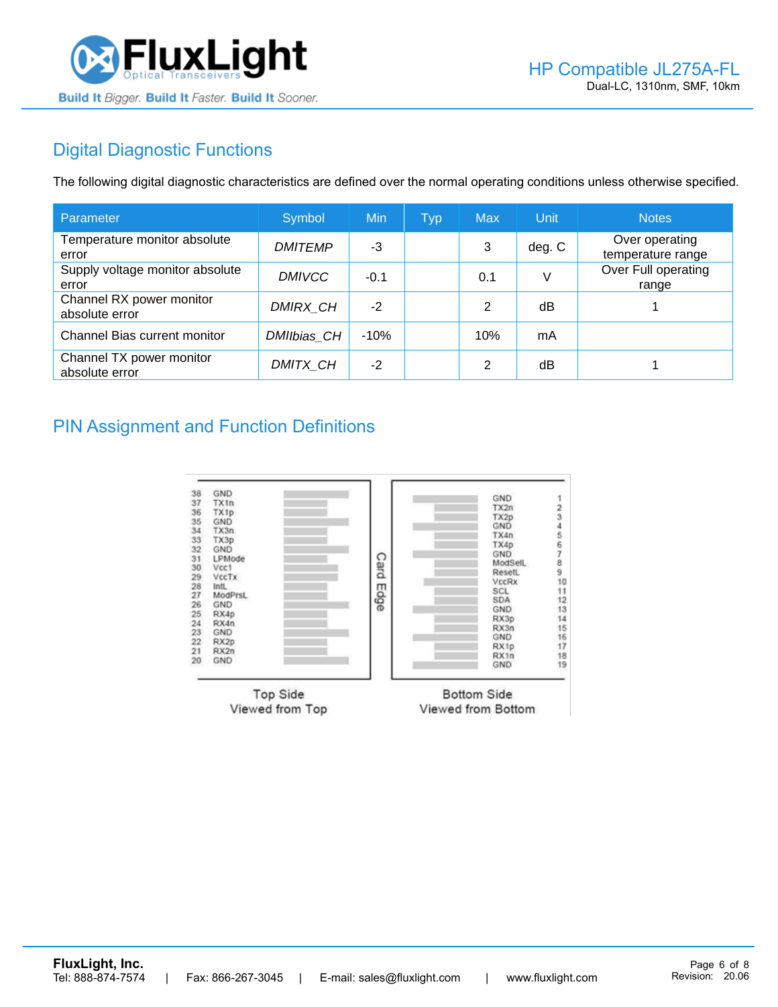

## Digital Diagnostic Functions

The following digital diagnostic characteristics are defined over the normal operating conditions unless otherwise specified.

| Parameter                                  | Symbol          | Min    | <b>Typ</b> | <b>Max</b> | Unit   | <b>Notes</b>                        |
|--------------------------------------------|-----------------|--------|------------|------------|--------|-------------------------------------|
| Temperature monitor absolute<br>error      | <b>DMITEMP</b>  | -3     |            | 3          | deg. C | Over operating<br>temperature range |
| Supply voltage monitor absolute<br>error   | <b>DMIVCC</b>   | $-0.1$ |            | 0.1        | V      | Over Full operating<br>range        |
| Channel RX power monitor<br>absolute error | <b>DMIRX CH</b> | $-2$   |            | 2          | dB     |                                     |
| Channel Bias current monitor               | DMIIbias CH     | $-10%$ |            | 10%        | mA     |                                     |
| Channel TX power monitor<br>absolute error | DMITX_CH        | $-2$   |            | 2          | dB     |                                     |

#### PIN Assignment and Function Definitions

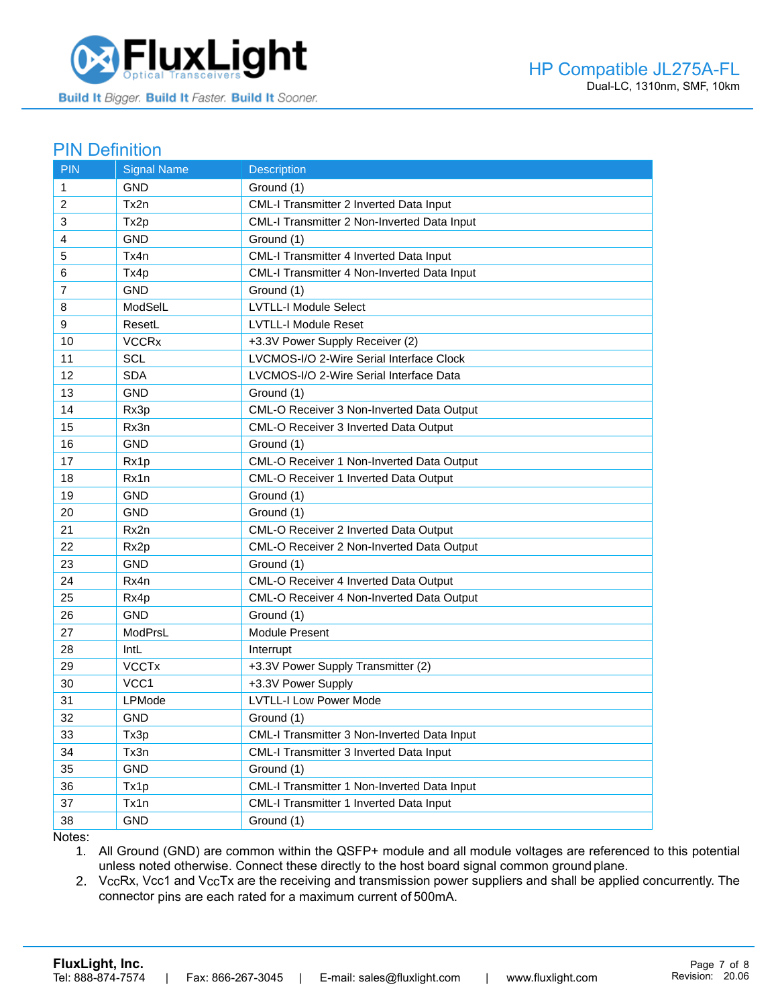

#### PIN Definition

| <b>PIN</b>     | <b>Signal Name</b>      | Description                                 |
|----------------|-------------------------|---------------------------------------------|
| $\mathbf{1}$   | <b>GND</b>              | Ground (1)                                  |
| 2              | Tx2n                    | CML-I Transmitter 2 Inverted Data Input     |
| 3              | Tx2p                    | CML-I Transmitter 2 Non-Inverted Data Input |
| 4              | <b>GND</b>              | Ground (1)                                  |
| 5              | Tx4n                    | CML-I Transmitter 4 Inverted Data Input     |
| 6              | Tx4p                    | CML-I Transmitter 4 Non-Inverted Data Input |
| $\overline{7}$ | <b>GND</b>              | Ground (1)                                  |
| 8              | ModSelL                 | <b>LVTLL-I Module Select</b>                |
| 9              | ResetL                  | <b>LVTLL-I Module Reset</b>                 |
| 10             | <b>VCCR<sub>x</sub></b> | +3.3V Power Supply Receiver (2)             |
| 11             | SCL                     | LVCMOS-I/O 2-Wire Serial Interface Clock    |
| 12             | <b>SDA</b>              | LVCMOS-I/O 2-Wire Serial Interface Data     |
| 13             | <b>GND</b>              | Ground (1)                                  |
| 14             | Rx3p                    | CML-O Receiver 3 Non-Inverted Data Output   |
| 15             | Rx3n                    | CML-O Receiver 3 Inverted Data Output       |
| 16             | <b>GND</b>              | Ground (1)                                  |
| 17             | Rx1p                    | CML-O Receiver 1 Non-Inverted Data Output   |
| 18             | Rx1n                    | CML-O Receiver 1 Inverted Data Output       |
| 19             | <b>GND</b>              | Ground (1)                                  |
| 20             | <b>GND</b>              | Ground (1)                                  |
| 21             | Rx2n                    | CML-O Receiver 2 Inverted Data Output       |
| 22             | Rx2p                    | CML-O Receiver 2 Non-Inverted Data Output   |
| 23             | <b>GND</b>              | Ground (1)                                  |
| 24             | Rx4n                    | CML-O Receiver 4 Inverted Data Output       |
| 25             | Rx4p                    | CML-O Receiver 4 Non-Inverted Data Output   |
| 26             | <b>GND</b>              | Ground (1)                                  |
| 27             | ModPrsL                 | Module Present                              |
| 28             | IntL                    | Interrupt                                   |
| 29             | <b>VCCTx</b>            | +3.3V Power Supply Transmitter (2)          |
| 30             | VCC1                    | +3.3V Power Supply                          |
| 31             | <b>LPMode</b>           | <b>LVTLL-I Low Power Mode</b>               |
| 32             | <b>GND</b>              | Ground (1)                                  |
| 33             | Tx3p                    | CML-I Transmitter 3 Non-Inverted Data Input |
| 34             | Tx3n                    | CML-I Transmitter 3 Inverted Data Input     |
| 35             | <b>GND</b>              | Ground (1)                                  |
| 36             | Tx1p                    | CML-I Transmitter 1 Non-Inverted Data Input |
| 37             | Tx1n                    | CML-I Transmitter 1 Inverted Data Input     |
| 38             | GND                     | Ground (1)                                  |

Notes:

1. All Ground (GND) are common within the QSFP+ module and all module voltages are referenced to this potential unless noted otherwise. Connect these directly to the host board signal common ground plane.

2. VccRx, Vcc1 and VccTx are the receiving and transmission power suppliers and shall be applied concurrently. The connector pins are each rated for a maximum current of 500mA.